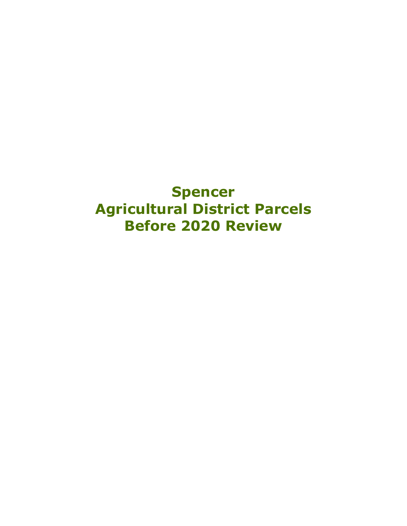## **Spencer Agricultural District Parcels Before 2020 Review**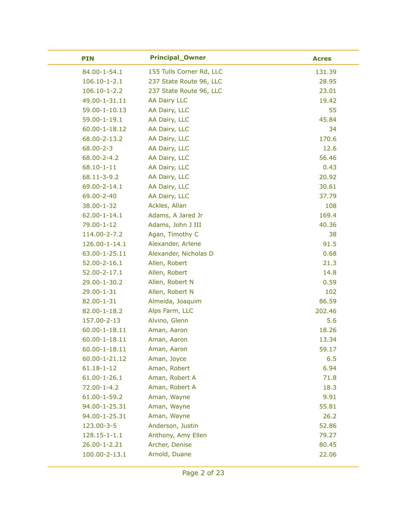| <b>PIN</b>          | <b>Principal_Owner</b>   | <b>Acres</b> |
|---------------------|--------------------------|--------------|
| 84.00-1-54.1        | 155 Tulls Corner Rd, LLC | 131.39       |
| $106.10 - 1 - 2.1$  | 237 State Route 96, LLC  | 28.95        |
| $106.10 - 1 - 2.2$  | 237 State Route 96, LLC  | 23.01        |
| 49.00-1-31.11       | <b>AA Dairy LLC</b>      | 19.42        |
| 59.00-1-10.13       | AA Dairy, LLC            | 55           |
| 59.00-1-19.1        | AA Dairy, LLC            | 45.84        |
| 60.00-1-18.12       | AA Dairy, LLC            | 34           |
| 68.00-2-13.2        | AA Dairy, LLC            | 170.6        |
| $68.00 - 2 - 3$     | AA Dairy, LLC            | 12.6         |
| 68.00-2-4.2         | AA Dairy, LLC            | 56.46        |
| $68.10 - 1 - 11$    | AA Dairy, LLC            | 0.43         |
| 68.11-3-9.2         | AA Dairy, LLC            | 20.92        |
| 69.00-2-14.1        | AA Dairy, LLC            | 30.61        |
| 69.00-2-40          | AA Dairy, LLC            | 37.79        |
| 38.00-1-32          | Ackles, Allan            | 108          |
| $62.00 - 1 - 14.1$  | Adams, A Jared Jr        | 169.4        |
| 79.00-1-12          | Adams, John J III        | 40.36        |
| 114.00-2-7.2        | Agan, Timothy C          | 38           |
| 126.00-1-14.1       | Alexander, Arlene        | 91.5         |
| 63.00-1-25.11       | Alexander, Nicholas D    | 0.68         |
| 52.00-2-16.1        | Allen, Robert            | 21.3         |
| 52.00-2-17.1        | Allen, Robert            | 14.8         |
| 29.00-1-30.2        | Allen, Robert N          | 0.59         |
| 29.00-1-31          | Allen, Robert N          | 102          |
| 82.00-1-31          | Almeida, Joaquim         | 86.59        |
| 82.00-1-18.2        | Alps Farm, LLC           | 202.46       |
| 157.00-2-13         | Alvino, Glenn            | 5.6          |
| 60.00-1-18.11       | Aman, Aaron              | 18.26        |
| 60.00-1-18.11       | Aman, Aaron              | 13.34        |
| $60.00 - 1 - 18.11$ | Aman, Aaron              | 59.17        |
| 60.00-1-21.12       | Aman, Joyce              | 6.5          |
| $61.18 - 1 - 12$    | Aman, Robert             | 6.94         |
| $61.00 - 1 - 26.1$  | Aman, Robert A           | 71.8         |
| $72.00 - 1 - 4.2$   | Aman, Robert A           | 18.3         |
| 61.00-1-59.2        | Aman, Wayne              | 9.91         |
| 94.00-1-25.31       | Aman, Wayne              | 55.81        |
| 94.00-1-25.31       | Aman, Wayne              | 26.2         |
| 123.00-3-5          | Anderson, Justin         | 52.86        |
| $128.15 - 1 - 1.1$  | Anthony, Amy Ellen       | 79.27        |
| 26.00-1-2.21        | Archer, Denise           | 80.45        |
| 100.00-2-13.1       | Arnold, Duane            | 22.06        |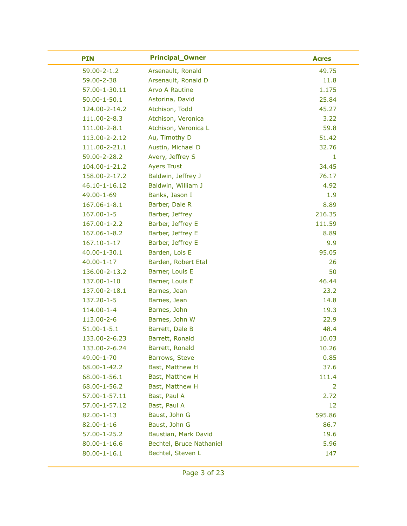| <b>PIN</b>         | <b>Principal_Owner</b>   | <b>Acres</b> |
|--------------------|--------------------------|--------------|
| 59.00-2-1.2        | Arsenault, Ronald        | 49.75        |
| 59.00-2-38         | Arsenault, Ronald D      | 11.8         |
| 57.00-1-30.11      | Arvo A Rautine           | 1.175        |
| $50.00 - 1 - 50.1$ | Astorina, David          | 25.84        |
| 124.00-2-14.2      | Atchison, Todd           | 45.27        |
| 111.00-2-8.3       | Atchison, Veronica       | 3.22         |
| 111.00-2-8.1       | Atchison, Veronica L     | 59.8         |
| 113.00-2-2.12      | Au, Timothy D            | 51.42        |
| 111.00-2-21.1      | Austin, Michael D        | 32.76        |
| 59.00-2-28.2       | Avery, Jeffrey S         | $\mathbf{1}$ |
| 104.00-1-21.2      | <b>Ayers Trust</b>       | 34.45        |
| 158.00-2-17.2      | Baldwin, Jeffrey J       | 76.17        |
| 46.10-1-16.12      | Baldwin, William J       | 4.92         |
| 49.00-1-69         | Banks, Jason I           | 1.9          |
| 167.06-1-8.1       | Barber, Dale R           | 8.89         |
| $167.00 - 1 - 5$   | Barber, Jeffrey          | 216.35       |
| 167.00-1-2.2       | Barber, Jeffrey E        | 111.59       |
| 167.06-1-8.2       | Barber, Jeffrey E        | 8.89         |
| 167.10-1-17        | Barber, Jeffrey E        | 9.9          |
| 40.00-1-30.1       | Barden, Lois E           | 95.05        |
| $40.00 - 1 - 17$   | Barden, Robert Etal      | 26           |
| 136.00-2-13.2      | Barner, Louis E          | 50           |
| 137.00-1-10        | Barner, Louis E          | 46.44        |
| 137.00-2-18.1      | Barnes, Jean             | 23.2         |
| 137.20-1-5         | Barnes, Jean             | 14.8         |
| 114.00-1-4         | Barnes, John             | 19.3         |
| 113.00-2-6         | Barnes, John W           | 22.9         |
| $51.00 - 1 - 5.1$  | Barrett, Dale B          | 48.4         |
| 133.00-2-6.23      | Barrett, Ronald          | 10.03        |
| 133.00-2-6.24      | Barrett, Ronald          | 10.26        |
| 49.00-1-70         | Barrows, Steve           | 0.85         |
| 68.00-1-42.2       | Bast, Matthew H          | 37.6         |
| 68.00-1-56.1       | Bast, Matthew H          | 111.4        |
| 68.00-1-56.2       | Bast, Matthew H          | 2            |
| 57.00-1-57.11      | Bast, Paul A             | 2.72         |
| 57.00-1-57.12      | Bast, Paul A             | 12           |
| 82.00-1-13         | Baust, John G            | 595.86       |
| 82.00-1-16         | Baust, John G            | 86.7         |
| 57.00-1-25.2       | Baustian, Mark David     | 19.6         |
| $80.00 - 1 - 16.6$ | Bechtel, Bruce Nathaniel | 5.96         |
| $80.00 - 1 - 16.1$ | Bechtel, Steven L        | 147          |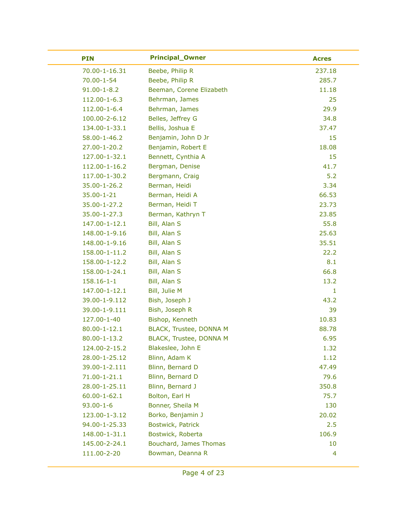| <b>PIN</b>         | <b>Principal_Owner</b>   | <b>Acres</b> |
|--------------------|--------------------------|--------------|
| 70.00-1-16.31      | Beebe, Philip R          | 237.18       |
| 70.00-1-54         | Beebe, Philip R          | 285.7        |
| $91.00 - 1 - 8.2$  | Beeman, Corene Elizabeth | 11.18        |
| 112.00-1-6.3       | Behrman, James           | 25           |
| 112.00-1-6.4       | Behrman, James           | 29.9         |
| 100.00-2-6.12      | Belles, Jeffrey G        | 34.8         |
| 134.00-1-33.1      | Bellis, Joshua E         | 37.47        |
| 58.00-1-46.2       | Benjamin, John D Jr      | 15           |
| 27.00-1-20.2       | Benjamin, Robert E       | 18.08        |
| 127.00-1-32.1      | Bennett, Cynthia A       | 15           |
| 112.00-1-16.2      | Bergman, Denise          | 41.7         |
| 117.00-1-30.2      | Bergmann, Craig          | 5.2          |
| 35.00-1-26.2       | Berman, Heidi            | 3.34         |
| 35.00-1-21         | Berman, Heidi A          | 66.53        |
| 35.00-1-27.2       | Berman, Heidi T          | 23.73        |
| 35.00-1-27.3       | Berman, Kathryn T        | 23.85        |
| 147.00-1-12.1      | Bill, Alan S             | 55.8         |
| 148.00-1-9.16      | Bill, Alan S             | 25.63        |
| 148.00-1-9.16      | Bill, Alan S             | 35.51        |
| 158.00-1-11.2      | Bill, Alan S             | 22.2         |
| 158.00-1-12.2      | Bill, Alan S             | 8.1          |
| 158.00-1-24.1      | Bill, Alan S             | 66.8         |
| $158.16 - 1 - 1$   | Bill, Alan S             | 13.2         |
| 147.00-1-12.1      | Bill, Julie M            | 1            |
| 39.00-1-9.112      | Bish, Joseph J           | 43.2         |
| 39.00-1-9.111      | Bish, Joseph R           | 39           |
| 127.00-1-40        | Bishop, Kenneth          | 10.83        |
| $80.00 - 1 - 12.1$ | BLACK, Trustee, DONNA M  | 88.78        |
| 80.00-1-13.2       | BLACK, Trustee, DONNA M  | 6.95         |
| 124.00-2-15.2      | Blakeslee, John E        | 1.32         |
| 28.00-1-25.12      | Blinn, Adam K            | 1.12         |
| 39.00-1-2.111      | Blinn, Bernard D         | 47.49        |
| 71.00-1-21.1       | Blinn, Bernard D         | 79.6         |
| 28.00-1-25.11      | Blinn, Bernard J         | 350.8        |
| $60.00 - 1 - 62.1$ | Bolton, Earl H           | 75.7         |
| $93.00 - 1 - 6$    | Bonner, Sheila M         | 130          |
| 123.00-1-3.12      | Borko, Benjamin J        | 20.02        |
| 94.00-1-25.33      | Bostwick, Patrick        | 2.5          |
| 148.00-1-31.1      | Bostwick, Roberta        | 106.9        |
| 145.00-2-24.1      | Bouchard, James Thomas   | 10           |
| 111.00-2-20        | Bowman, Deanna R         | 4            |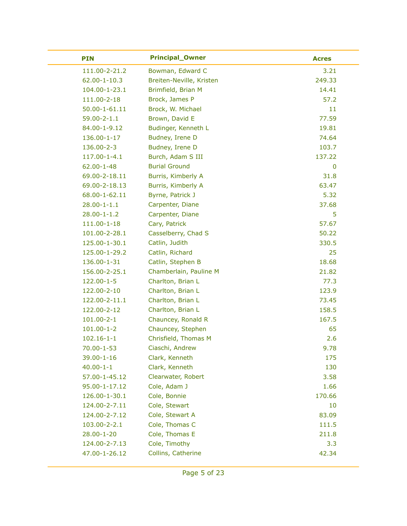| <b>PIN</b>         | <b>Principal_Owner</b>   | <b>Acres</b> |
|--------------------|--------------------------|--------------|
| 111.00-2-21.2      | Bowman, Edward C         | 3.21         |
| $62.00 - 1 - 10.3$ | Breiten-Neville, Kristen | 249.33       |
| 104.00-1-23.1      | Brimfield, Brian M       | 14.41        |
| 111.00-2-18        | Brock, James P           | 57.2         |
| 50.00-1-61.11      | Brock, W. Michael        | 11           |
| $59.00 - 2 - 1.1$  | Brown, David E           | 77.59        |
| 84.00-1-9.12       | Budinger, Kenneth L      | 19.81        |
| 136.00-1-17        | Budney, Irene D          | 74.64        |
| 136.00-2-3         | Budney, Irene D          | 103.7        |
| 117.00-1-4.1       | Burch, Adam S III        | 137.22       |
| 62.00-1-48         | <b>Burial Ground</b>     | 0            |
| 69.00-2-18.11      | Burris, Kimberly A       | 31.8         |
| 69.00-2-18.13      | Burris, Kimberly A       | 63.47        |
| 68.00-1-62.11      | Byrne, Patrick J         | 5.32         |
| $28.00 - 1 - 1.1$  | Carpenter, Diane         | 37.68        |
| $28.00 - 1 - 1.2$  | Carpenter, Diane         | 5            |
| 111.00-1-18        | Cary, Patrick            | 57.67        |
| 101.00-2-28.1      | Casselberry, Chad S      | 50.22        |
| 125.00-1-30.1      | Catlin, Judith           | 330.5        |
| 125.00-1-29.2      | Catlin, Richard          | 25           |
| 136.00-1-31        | Catlin, Stephen B        | 18.68        |
| 156.00-2-25.1      | Chamberlain, Pauline M   | 21.82        |
| 122.00-1-5         | Charlton, Brian L        | 77.3         |
| 122.00-2-10        | Charlton, Brian L        | 123.9        |
| 122.00-2-11.1      | Charlton, Brian L        | 73.45        |
| 122.00-2-12        | Charlton, Brian L        | 158.5        |
| $101.00 - 2 - 1$   | Chauncey, Ronald R       | 167.5        |
| $101.00 - 1 - 2$   | Chauncey, Stephen        | 65           |
| $102.16 - 1 - 1$   | Chrisfield, Thomas M     | 2.6          |
| $70.00 - 1 - 53$   | Ciaschi, Andrew          | 9.78         |
| 39.00-1-16         | Clark, Kenneth           | 175          |
| $40.00 - 1 - 1$    | Clark, Kenneth           | 130          |
| 57.00-1-45.12      | Clearwater, Robert       | 3.58         |
| 95.00-1-17.12      | Cole, Adam J             | 1.66         |
| 126.00-1-30.1      | Cole, Bonnie             | 170.66       |
| 124.00-2-7.11      | Cole, Stewart            | 10           |
| 124.00-2-7.12      | Cole, Stewart A          | 83.09        |
| 103.00-2-2.1       | Cole, Thomas C           | 111.5        |
| 28.00-1-20         | Cole, Thomas E           | 211.8        |
| 124.00-2-7.13      | Cole, Timothy            | 3.3          |
| 47.00-1-26.12      | Collins, Catherine       | 42.34        |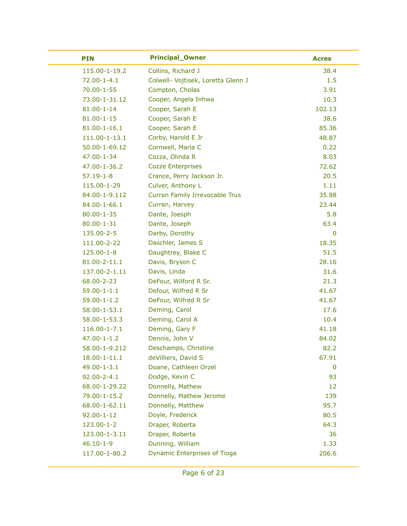| <b>PIN</b>         | <b>Principal_Owner</b>              | <b>Acres</b> |
|--------------------|-------------------------------------|--------------|
| 115.00-1-19.2      | Collins, Richard J                  | 38.4         |
| $72.00 - 1 - 4.1$  | Colwell- Vojtisek, Loretta Glenn J  | 1.5          |
| $70.00 - 1 - 55$   | Compton, Cholas                     | 3.91         |
| 73.00-1-31.12      | Cooper, Angela Inhwa                | 10.3         |
| $81.00 - 1 - 14$   | Cooper, Sarah E                     | 102.13       |
| $81.00 - 1 - 15$   | Cooper, Sarah E                     | 38.6         |
| $81.00 - 1 - 16.1$ | Cooper, Sarah E                     | 85.36        |
| 111.00-1-13.1      | Corby, Harold E Jr                  | 48.87        |
| 50.00-1-69.12      | Cornwell, Maria C                   | 0.22         |
| 47.00-1-34         | Cozza, Olinda R                     | 8.03         |
| 47.00-1-36.2       | <b>Cozze Enterprises</b>            | 72.62        |
| $57.19 - 1 - 8$    | Crance, Perry Jackson Jr.           | 20.5         |
| 115.00-1-29        | Culver, Anthony L                   | 1.11         |
| 84.00-1-9.112      | Curran Family Irrevocable Trus      | 35.88        |
| 84.00-1-66.1       | Curran, Harvey                      | 23.44        |
| $80.00 - 1 - 35$   | Dante, Joesph                       | 5.8          |
| $80.00 - 1 - 31$   | Dante, Joseph                       | 63.4         |
| 135.00-2-5         | Darby, Dorothy                      | 0            |
| 111.00-2-22        | Daschler, James S                   | 18.35        |
| 125.00-1-8         | Daughtrey, Blake C                  | 51.5         |
| 81.00-2-11.1       | Davis, Bryson C                     | 28.16        |
| 137.00-2-1.11      | Davis, Linda                        | 31.6         |
| 68.00-2-23         | DeFour, Wilford R Sr.               | 21.3         |
| $59.00 - 1 - 1.1$  | Defour, Wilfred R Sr                | 41.67        |
| $59.00 - 1 - 1.2$  | DeFour, Wilfred R Sr                | 41.67        |
| 58.00-1-53.1       | Deming, Carol                       | 17.6         |
| 58.00-1-53.3       | Deming, Carol A                     | 10.4         |
| 116.00-1-7.1       | Deming, Gary F                      | 41.18        |
| $47.00 - 1 - 1.2$  | Dennis, John V                      | 84.02        |
| 58.00-1-9.212      | Deschamps, Christine                | 82.2         |
| $18.00 - 1 - 11.1$ | deVilliers, David S                 | 67.91        |
| 49.00-1-3.1        | Doane, Cathleen Orzel               | 0            |
| 92.00-2-4.1        | Dodge, Kevin C                      | 93           |
| 68.00-1-29.22      | Donnelly, Mathew                    | 12           |
| 79.00-1-15.2       | Donnelly, Mathew Jerome             | 139          |
| 68.00-1-62.11      | Donnelly, Matthew                   | 95.7         |
| $92.00 - 1 - 12$   | Doyle, Frederick                    | 80.5         |
| 123.00-1-2         | Draper, Roberta                     | 64.3         |
| 123.00-1-3.11      | Draper, Roberta                     | 36           |
| $46.10 - 1 - 9$    | Dunning, William                    | 1.33         |
| 117.00-1-80.2      | <b>Dynamic Enterprises of Tioga</b> | 206.6        |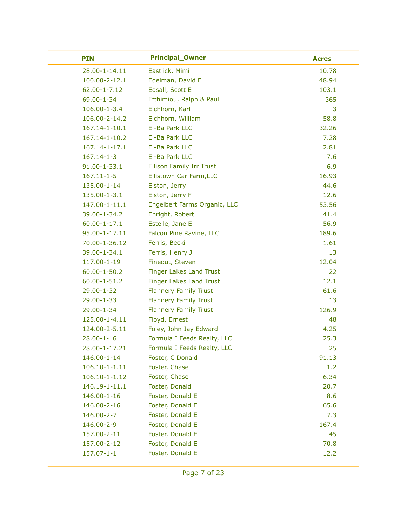| <b>PIN</b>          | <b>Principal_Owner</b>          | <b>Acres</b> |
|---------------------|---------------------------------|--------------|
| 28.00-1-14.11       | Eastlick, Mimi                  | 10.78        |
| 100.00-2-12.1       | Edelman, David E                | 48.94        |
| 62.00-1-7.12        | Edsall, Scott E                 | 103.1        |
| 69.00-1-34          | Efthimiou, Ralph & Paul         | 365          |
| 106.00-1-3.4        | Eichhorn, Karl                  | 3            |
| 106.00-2-14.2       | Eichhorn, William               | 58.8         |
| 167.14-1-10.1       | El-Ba Park LLC                  | 32.26        |
| 167.14-1-10.2       | El-Ba Park LLC                  | 7.28         |
| 167.14-1-17.1       | El-Ba Park LLC                  | 2.81         |
| $167.14 - 1 - 3$    | El-Ba Park LLC                  | 7.6          |
| 91.00-1-33.1        | <b>Ellison Family Irr Trust</b> | 6.9          |
| $167.11 - 1 - 5$    | Ellistown Car Farm, LLC         | 16.93        |
| 135.00-1-14         | Elston, Jerry                   | 44.6         |
| 135.00-1-3.1        | Elston, Jerry F                 | 12.6         |
| 147.00-1-11.1       | Engelbert Farms Organic, LLC    | 53.56        |
| 39.00-1-34.2        | Enright, Robert                 | 41.4         |
| $60.00 - 1 - 17.1$  | Estelle, Jane E                 | 56.9         |
| 95.00-1-17.11       | Falcon Pine Ravine, LLC         | 189.6        |
| 70.00-1-36.12       | Ferris, Becki                   | 1.61         |
| 39.00-1-34.1        | Ferris, Henry J                 | 13           |
| 117.00-1-19         | Fineout, Steven                 | 12.04        |
| $60.00 - 1 - 50.2$  | <b>Finger Lakes Land Trust</b>  | 22           |
| $60.00 - 1 - 51.2$  | <b>Finger Lakes Land Trust</b>  | 12.1         |
| 29.00-1-32          | <b>Flannery Family Trust</b>    | 61.6         |
| 29.00-1-33          | <b>Flannery Family Trust</b>    | 13           |
| 29.00-1-34          | <b>Flannery Family Trust</b>    | 126.9        |
| 125.00-1-4.11       | Floyd, Ernest                   | 48           |
| 124.00-2-5.11       | Foley, John Jay Edward          | 4.25         |
| $28.00 - 1 - 16$    | Formula I Feeds Realty, LLC     | 25.3         |
| 28.00-1-17.21       | Formula I Feeds Realty, LLC     | 25           |
| 146.00-1-14         | Foster, C Donald                | 91.13        |
| $106.10 - 1 - 1.11$ | Foster, Chase                   | 1.2          |
| $106.10 - 1 - 1.12$ | Foster, Chase                   | 6.34         |
| 146.19-1-11.1       | Foster, Donald                  | 20.7         |
| 146.00-1-16         | Foster, Donald E                | 8.6          |
| 146.00-2-16         | Foster, Donald E                | 65.6         |
| 146.00-2-7          | Foster, Donald E                | 7.3          |
| 146.00-2-9          | Foster, Donald E                | 167.4        |
| 157.00-2-11         | Foster, Donald E                | 45           |
| 157.00-2-12         | Foster, Donald E                | 70.8         |
| $157.07 - 1 - 1$    | Foster, Donald E                | 12.2         |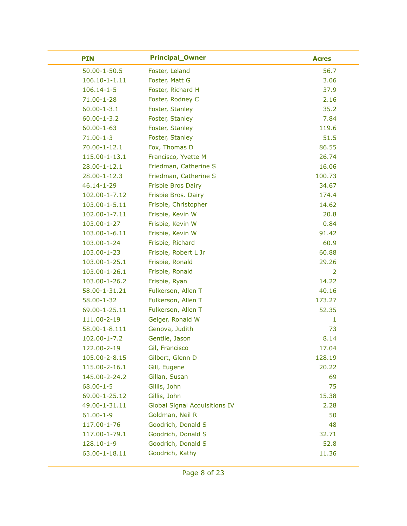| <b>PIN</b>          | <b>Principal_Owner</b>               | <b>Acres</b> |
|---------------------|--------------------------------------|--------------|
| $50.00 - 1 - 50.5$  | Foster, Leland                       | 56.7         |
| $106.10 - 1 - 1.11$ | Foster, Matt G                       | 3.06         |
| $106.14 - 1 - 5$    | Foster, Richard H                    | 37.9         |
| 71.00-1-28          | Foster, Rodney C                     | 2.16         |
| $60.00 - 1 - 3.1$   | Foster, Stanley                      | 35.2         |
| $60.00 - 1 - 3.2$   | Foster, Stanley                      | 7.84         |
| $60.00 - 1 - 63$    | Foster, Stanley                      | 119.6        |
| $71.00 - 1 - 3$     | Foster, Stanley                      | 51.5         |
| $70.00 - 1 - 12.1$  | Fox, Thomas D                        | 86.55        |
| 115.00-1-13.1       | Francisco, Yvette M                  | 26.74        |
| 28.00-1-12.1        | Friedman, Catherine S                | 16.06        |
| 28.00-1-12.3        | Friedman, Catherine S                | 100.73       |
| 46.14-1-29          | <b>Frisbie Bros Dairy</b>            | 34.67        |
| 102.00-1-7.12       | Frisbie Bros. Dairy                  | 174.4        |
| 103.00-1-5.11       | Frisbie, Christopher                 | 14.62        |
| 102.00-1-7.11       | Frisbie, Kevin W                     | 20.8         |
| 103.00-1-27         | Frisbie, Kevin W                     | 0.84         |
| 103.00-1-6.11       | Frisbie, Kevin W                     | 91.42        |
| 103.00-1-24         | Frisbie, Richard                     | 60.9         |
| 103.00-1-23         | Frisbie, Robert L Jr                 | 60.88        |
| 103.00-1-25.1       | Frisbie, Ronald                      | 29.26        |
| 103.00-1-26.1       | Frisbie, Ronald                      | 2            |
| 103.00-1-26.2       | Frisbie, Ryan                        | 14.22        |
| 58.00-1-31.21       | Fulkerson, Allen T                   | 40.16        |
| 58.00-1-32          | Fulkerson, Allen T                   | 173.27       |
| 69.00-1-25.11       | Fulkerson, Allen T                   | 52.35        |
| 111.00-2-19         | Geiger, Ronald W                     | 1            |
| 58.00-1-8.111       | Genova, Judith                       | 73           |
| 102.00-1-7.2        | Gentile, Jason                       | 8.14         |
| 122.00-2-19         | Gil, Francisco                       | 17.04        |
| 105.00-2-8.15       | Gilbert, Glenn D                     | 128.19       |
| 115.00-2-16.1       | Gill, Eugene                         | 20.22        |
| 145.00-2-24.2       | Gillan, Susan                        | 69           |
| $68.00 - 1 - 5$     | Gillis, John                         | 75           |
| 69.00-1-25.12       | Gillis, John                         | 15.38        |
| 49.00-1-31.11       | <b>Global Signal Acquisitions IV</b> | 2.28         |
| $61.00 - 1 - 9$     | Goldman, Neil R                      | 50           |
| 117.00-1-76         | Goodrich, Donald S                   | 48           |
| 117.00-1-79.1       | Goodrich, Donald S                   | 32.71        |
| 128.10-1-9          | Goodrich, Donald S                   | 52.8         |
| 63.00-1-18.11       | Goodrich, Kathy                      | 11.36        |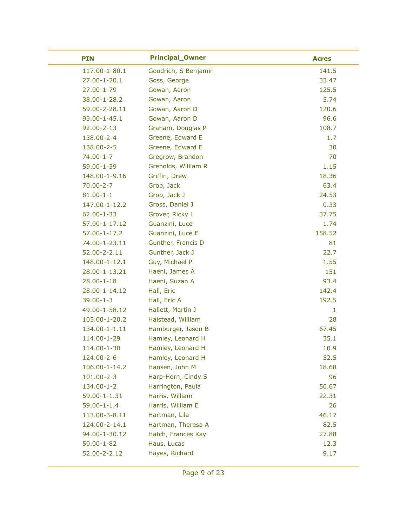| <b>PIN</b>         | <b>Principal_Owner</b> | <b>Acres</b> |
|--------------------|------------------------|--------------|
| 117.00-1-80.1      | Goodrich, S Benjamin   | 141.5        |
| $27.00 - 1 - 20.1$ | Goss, George           | 33.47        |
| 27.00-1-79         | Gowan, Aaron           | 125.5        |
| 38.00-1-28.2       | Gowan, Aaron           | 5.74         |
| 59.00-2-28.11      | Gowan, Aaron D         | 120.6        |
| 93.00-1-45.1       | Gowan, Aaron D         | 96.6         |
| $92.00 - 2 - 13$   | Graham, Douglas P      | 108.7        |
| 138.00-2-4         | Greene, Edward E       | 1.7          |
| 138.00-2-5         | Greene, Edward E       | 30           |
| 74.00-1-7          | Gregrow, Brandon       | 70           |
| 59.00-1-39         | Grenolds, William R    | 1.15         |
| 148.00-1-9.16      | Griffin, Drew          | 18.36        |
| $70.00 - 2 - 7$    | Grob, Jack             | 63.4         |
| $81.00 - 1 - 1$    | Grob, Jack J           | 24.53        |
| 147.00-1-12.2      | Gross, Daniel J        | 0.33         |
| 62.00-1-33         | Grover, Ricky L        | 37.75        |
| 57.00-1-17.12      | Guanzini, Luce         | 1.74         |
| 57.00-1-17.2       | Guanzini, Luce E       | 158.52       |
| 74.00-1-23.11      | Gunther, Francis D     | 81           |
| 52.00-2-2.11       | Gunther, Jack J        | 22.7         |
| 148.00-1-12.1      | Guy, Michael P         | 1.55         |
| 28.00-1-13.21      | Haeni, James A         | 151          |
| $28.00 - 1 - 18$   | Haeni, Suzan A         | 93.4         |
| 28.00-1-14.12      | Hall, Eric             | 142.4        |
| $39.00 - 1 - 3$    | Hall, Eric A           | 192.5        |
| 49.00-1-58.12      | Hallett, Martin J      | 1            |
| 105.00-1-20.2      | Halstead, William      | 28           |
| 134.00-1-1.11      | Hamburger, Jason B     | 67.45        |
| 114.00-1-29        | Hamley, Leonard H      | 35.1         |
| 114.00-1-30        | Hamley, Leonard H      | 10.9         |
| 124.00-2-6         | Hamley, Leonard H      | 52.5         |
| 106.00-1-14.2      | Hansen, John M         | 18.68        |
| 101.00-2-3         | Harp-Horn, Cindy S     | 96           |
| 134.00-1-2         | Harrington, Paula      | 50.67        |
| 59.00-1-1.31       | Harris, William        | 22.31        |
| $59.00 - 1 - 1.4$  | Harris, William E      | 26           |
| 113.00-3-8.11      | Hartman, Lila          | 46.17        |
| 124.00-2-14.1      | Hartman, Theresa A     | 82.5         |
| 94.00-1-30.12      | Hatch, Frances Kay     | 27.88        |
| $50.00 - 1 - 82$   | Haus, Lucas            | 12.3         |
| 52.00-2-2.12       | Hayes, Richard         | 9.17         |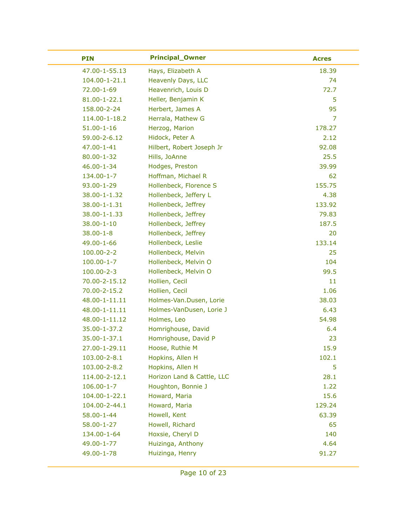| <b>PIN</b>         | <b>Principal_Owner</b>     | <b>Acres</b> |
|--------------------|----------------------------|--------------|
| 47.00-1-55.13      | Hays, Elizabeth A          | 18.39        |
| 104.00-1-21.1      | Heavenly Days, LLC         | 74           |
| 72.00-1-69         | Heavenrich, Louis D        | 72.7         |
| $81.00 - 1 - 22.1$ | Heller, Benjamin K         | 5            |
| 158.00-2-24        | Herbert, James A           | 95           |
| 114.00-1-18.2      | Herrala, Mathew G          | 7            |
| $51.00 - 1 - 16$   | Herzog, Marion             | 178.27       |
| 59.00-2-6.12       | Hidock, Peter A            | 2.12         |
| 47.00-1-41         | Hilbert, Robert Joseph Jr  | 92.08        |
| $80.00 - 1 - 32$   | Hills, JoAnne              | 25.5         |
| 46.00-1-34         | Hodges, Preston            | 39.99        |
| 134.00-1-7         | Hoffman, Michael R         | 62           |
| 93.00-1-29         | Hollenbeck, Florence S     | 155.75       |
| 38.00-1-1.32       | Hollenbeck, Jeffery L      | 4.38         |
| 38.00-1-1.31       | Hollenbeck, Jeffrey        | 133.92       |
| 38.00-1-1.33       | Hollenbeck, Jeffrey        | 79.83        |
| $38.00 - 1 - 10$   | Hollenbeck, Jeffrey        | 187.5        |
| $38.00 - 1 - 8$    | Hollenbeck, Jeffrey        | 20           |
| 49.00-1-66         | Hollenbeck, Leslie         | 133.14       |
| $100.00 - 2 - 2$   | Hollenbeck, Melvin         | 25           |
| $100.00 - 1 - 7$   | Hollenbeck, Melvin O       | 104          |
| $100.00 - 2 - 3$   | Hollenbeck, Melvin O       | 99.5         |
| 70.00-2-15.12      | Hollien, Cecil             | 11           |
| 70.00-2-15.2       | Hollien, Cecil             | 1.06         |
| 48.00-1-11.11      | Holmes-Van.Dusen, Lorie    | 38.03        |
| 48.00-1-11.11      | Holmes-VanDusen, Lorie J   | 6.43         |
| 48.00-1-11.12      | Holmes, Leo                | 54.98        |
| 35.00-1-37.2       | Homrighouse, David         | 6.4          |
| 35.00-1-37.1       | Homrighouse, David P       | 23           |
| 27.00-1-29.11      | Hoose, Ruthie M            | 15.9         |
| 103.00-2-8.1       | Hopkins, Allen H           | 102.1        |
| 103.00-2-8.2       | Hopkins, Allen H           | 5            |
| 114.00-2-12.1      | Horizon Land & Cattle, LLC | 28.1         |
| $106.00 - 1 - 7$   | Houghton, Bonnie J         | 1.22         |
| 104.00-1-22.1      | Howard, Maria              | 15.6         |
| 104.00-2-44.1      | Howard, Maria              | 129.24       |
| $58.00 - 1 - 44$   | Howell, Kent               | 63.39        |
| 58.00-1-27         | Howell, Richard            | 65           |
| 134.00-1-64        | Hoxsie, Cheryl D           | 140          |
| 49.00-1-77         | Huizinga, Anthony          | 4.64         |
| 49.00-1-78         | Huizinga, Henry            | 91.27        |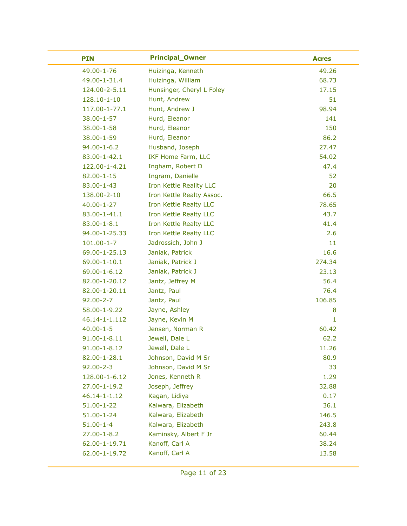| <b>PIN</b>         | <b>Principal_Owner</b>    | <b>Acres</b> |
|--------------------|---------------------------|--------------|
| 49.00-1-76         | Huizinga, Kenneth         | 49.26        |
| 49.00-1-31.4       | Huizinga, William         | 68.73        |
| 124.00-2-5.11      | Hunsinger, Cheryl L Foley | 17.15        |
| 128.10-1-10        | Hunt, Andrew              | 51           |
| 117.00-1-77.1      | Hunt, Andrew J            | 98.94        |
| 38.00-1-57         | Hurd, Eleanor             | 141          |
| $38.00 - 1 - 58$   | Hurd, Eleanor             | 150          |
| 38.00-1-59         | Hurd, Eleanor             | 86.2         |
| $94.00 - 1 - 6.2$  | Husband, Joseph           | 27.47        |
| 83.00-1-42.1       | <b>IKF Home Farm, LLC</b> | 54.02        |
| 122.00-1-4.21      | Ingham, Robert D          | 47.4         |
| $82.00 - 1 - 15$   | Ingram, Danielle          | 52           |
| 83.00-1-43         | Iron Kettle Reality LLC   | 20           |
| 138.00-2-10        | Iron Kettle Realty Assoc. | 66.5         |
| $40.00 - 1 - 27$   | Iron Kettle Realty LLC    | 78.65        |
| 83.00-1-41.1       | Iron Kettle Realty LLC    | 43.7         |
| $83.00 - 1 - 8.1$  | Iron Kettle Realty LLC    | 41.4         |
| 94.00-1-25.33      | Iron Kettle Realty LLC    | 2.6          |
| $101.00 - 1 - 7$   | Jadrossich, John J        | 11           |
| 69.00-1-25.13      | Janiak, Patrick           | 16.6         |
| 69.00-1-10.1       | Janiak, Patrick J         | 274.34       |
| 69.00-1-6.12       | Janiak, Patrick J         | 23.13        |
| 82.00-1-20.12      | Jantz, Jeffrey M          | 56.4         |
| 82.00-1-20.11      | Jantz, Paul               | 76.4         |
| $92.00 - 2 - 7$    | Jantz, Paul               | 106.85       |
| 58.00-1-9.22       | Jayne, Ashley             | 8            |
| 46.14-1-1.112      | Jayne, Kevin M            | 1            |
| $40.00 - 1 - 5$    | Jensen, Norman R          | 60.42        |
| $91.00 - 1 - 8.11$ | Jewell, Dale L            | 62.2         |
| $91.00 - 1 - 8.12$ | Jewell, Dale L            | 11.26        |
| 82.00-1-28.1       | Johnson, David M Sr       | 80.9         |
| $92.00 - 2 - 3$    | Johnson, David M Sr       | 33           |
| 128.00-1-6.12      | Jones, Kenneth R          | 1.29         |
| 27.00-1-19.2       | Joseph, Jeffrey           | 32.88        |
| 46.14-1-1.12       | Kagan, Lidiya             | 0.17         |
| 51.00-1-22         | Kalwara, Elizabeth        | 36.1         |
| $51.00 - 1 - 24$   | Kalwara, Elizabeth        | 146.5        |
| $51.00 - 1 - 4$    | Kalwara, Elizabeth        | 243.8        |
| $27.00 - 1 - 8.2$  | Kaminsky, Albert F Jr     | 60.44        |
| 62.00-1-19.71      | Kanoff, Carl A            | 38.24        |
| 62.00-1-19.72      | Kanoff, Carl A            | 13.58        |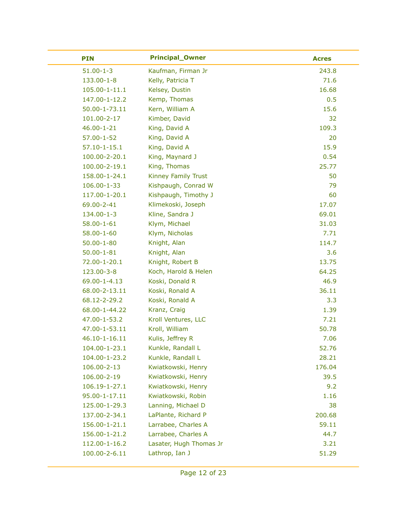| <b>PIN</b>         | <b>Principal_Owner</b>     | <b>Acres</b> |
|--------------------|----------------------------|--------------|
| $51.00 - 1 - 3$    | Kaufman, Firman Jr         | 243.8        |
| 133.00-1-8         | Kelly, Patricia T          | 71.6         |
| 105.00-1-11.1      | Kelsey, Dustin             | 16.68        |
| 147.00-1-12.2      | Kemp, Thomas               | 0.5          |
| 50.00-1-73.11      | Kern, William A            | 15.6         |
| 101.00-2-17        | Kimber, David              | 32           |
| $46.00 - 1 - 21$   | King, David A              | 109.3        |
| $57.00 - 1 - 52$   | King, David A              | 20           |
| $57.10 - 1 - 15.1$ | King, David A              | 15.9         |
| 100.00-2-20.1      | King, Maynard J            | 0.54         |
| 100.00-2-19.1      | King, Thomas               | 25.77        |
| 158.00-1-24.1      | <b>Kinney Family Trust</b> | 50           |
| 106.00-1-33        | Kishpaugh, Conrad W        | 79           |
| 117.00-1-20.1      | Kishpaugh, Timothy J       | 60           |
| 69.00-2-41         | Klimekoski, Joseph         | 17.07        |
| 134.00-1-3         | Kline, Sandra J            | 69.01        |
| $58.00 - 1 - 61$   | Klym, Michael              | 31.03        |
| $58.00 - 1 - 60$   | Klym, Nicholas             | 7.71         |
| $50.00 - 1 - 80$   | Knight, Alan               | 114.7        |
| $50.00 - 1 - 81$   | Knight, Alan               | 3.6          |
| 72.00-1-20.1       | Knight, Robert B           | 13.75        |
| 123.00-3-8         | Koch, Harold & Helen       | 64.25        |
| 69.00-1-4.13       | Koski, Donald R            | 46.9         |
| 68.00-2-13.11      | Koski, Ronald A            | 36.11        |
| 68.12-2-29.2       | Koski, Ronald A            | 3.3          |
| 68.00-1-44.22      | Kranz, Craig               | 1.39         |
| 47.00-1-53.2       | Kroll Ventures, LLC        | 7.21         |
| 47.00-1-53.11      | Kroll, William             | 50.78        |
| 46.10-1-16.11      | Kulis, Jeffrey R           | 7.06         |
| 104.00-1-23.1      | Kunkle, Randall L          | 52.76        |
| 104.00-1-23.2      | Kunkle, Randall L          | 28.21        |
| 106.00-2-13        | Kwiatkowski, Henry         | 176.04       |
| 106.00-2-19        | Kwiatkowski, Henry         | 39.5         |
| 106.19-1-27.1      | Kwiatkowski, Henry         | 9.2          |
| 95.00-1-17.11      | Kwiatkowski, Robin         | 1.16         |
| 125.00-1-29.3      | Lanning, Michael D         | 38           |
| 137.00-2-34.1      | LaPlante, Richard P        | 200.68       |
| 156.00-1-21.1      | Larrabee, Charles A        | 59.11        |
| 156.00-1-21.2      | Larrabee, Charles A        | 44.7         |
| 112.00-1-16.2      | Lasater, Hugh Thomas Jr    | 3.21         |
| 100.00-2-6.11      | Lathrop, Ian J             | 51.29        |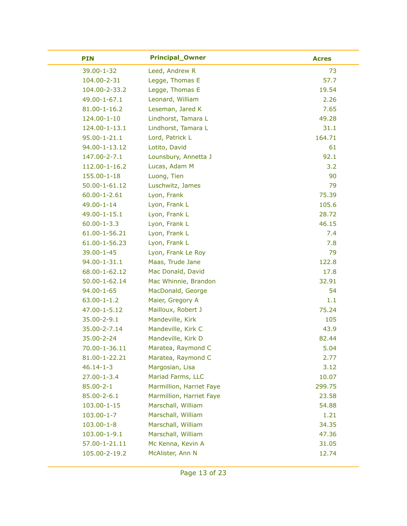| <b>PIN</b>         | <b>Principal_Owner</b>   | <b>Acres</b> |
|--------------------|--------------------------|--------------|
| 39.00-1-32         | Leed, Andrew R           | 73           |
| 104.00-2-31        | Legge, Thomas E          | 57.7         |
| 104.00-2-33.2      | Legge, Thomas E          | 19.54        |
| 49.00-1-67.1       | Leonard, William         | 2.26         |
| $81.00 - 1 - 16.2$ | Leseman, Jared K         | 7.65         |
| 124.00-1-10        | Lindhorst, Tamara L      | 49.28        |
| 124.00-1-13.1      | Lindhorst, Tamara L      | 31.1         |
| $95.00 - 1 - 21.1$ | Lord, Patrick L          | 164.71       |
| 94.00-1-13.12      | Lotito, David            | 61           |
| 147.00-2-7.1       | Lounsbury, Annetta J     | 92.1         |
| 112.00-1-16.2      | Lucas, Adam M            | 3.2          |
| 155.00-1-18        | Luong, Tien              | 90           |
| 50.00-1-61.12      | Luschwitz, James         | 79           |
| $60.00 - 1 - 2.61$ | Lyon, Frank              | 75.39        |
| 49.00-1-14         | Lyon, Frank L            | 105.6        |
| 49.00-1-15.1       | Lyon, Frank L            | 28.72        |
| $60.00 - 1 - 3.3$  | Lyon, Frank L            | 46.15        |
| 61.00-1-56.21      | Lyon, Frank L            | 7.4          |
| 61.00-1-56.23      | Lyon, Frank L            | 7.8          |
| 39.00-1-45         | Lyon, Frank Le Roy       | 79           |
| 94.00-1-31.1       | Maas, Trude Jane         | 122.8        |
| 68.00-1-62.12      | Mac Donald, David        | 17.8         |
| 50.00-1-62.14      | Mac Whinnie, Brandon     | 32.91        |
| $94.00 - 1 - 65$   | MacDonald, George        | 54           |
| $63.00 - 1 - 1.2$  | Maier, Gregory A         | 1.1          |
| 47.00-1-5.12       | Mailloux, Robert J       | 75.24        |
| 35.00-2-9.1        | Mandeville, Kirk         | 105          |
| 35.00-2-7.14       | Mandeville, Kirk C       | 43.9         |
| 35.00-2-24         | Mandeville, Kirk D       | 82.44        |
| 70.00-1-36.11      | Maratea, Raymond C       | 5.04         |
| 81.00-1-22.21      | Maratea, Raymond C       | 2.77         |
| $46.14 - 1 - 3$    | Margosian, Lisa          | 3.12         |
| $27.00 - 1 - 3.4$  | Mariad Farms, LLC        | 10.07        |
| $85.00 - 2 - 1$    | Marmillion, Harriet Faye | 299.75       |
| 85.00-2-6.1        | Marmillion, Harriet Faye | 23.58        |
| 103.00-1-15        | Marschall, William       | 54.88        |
| $103.00 - 1 - 7$   | Marschall, William       | 1.21         |
| $103.00 - 1 - 8$   | Marschall, William       | 34.35        |
| 103.00-1-9.1       | Marschall, William       | 47.36        |
| 57.00-1-21.11      | Mc Kenna, Kevin A        | 31.05        |
| 105.00-2-19.2      | McAlister, Ann N         | 12.74        |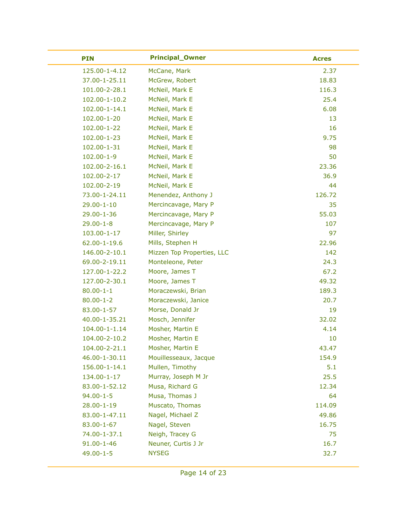| <b>PIN</b>          | <b>Principal_Owner</b>     | <b>Acres</b> |
|---------------------|----------------------------|--------------|
| 125.00-1-4.12       | McCane, Mark               | 2.37         |
| 37.00-1-25.11       | McGrew, Robert             | 18.83        |
| 101.00-2-28.1       | McNeil, Mark E             | 116.3        |
| 102.00-1-10.2       | McNeil, Mark E             | 25.4         |
| $102.00 - 1 - 14.1$ | McNeil, Mark E             | 6.08         |
| 102.00-1-20         | McNeil, Mark E             | 13           |
| 102.00-1-22         | McNeil, Mark E             | 16           |
| 102.00-1-23         | McNeil, Mark E             | 9.75         |
| 102.00-1-31         | McNeil, Mark E             | 98           |
| $102.00 - 1 - 9$    | McNeil, Mark E             | 50           |
| 102.00-2-16.1       | McNeil, Mark E             | 23.36        |
| 102.00-2-17         | McNeil, Mark E             | 36.9         |
| 102.00-2-19         | McNeil, Mark E             | 44           |
| 73.00-1-24.11       | Menendez, Anthony J        | 126.72       |
| $29.00 - 1 - 10$    | Mercincavage, Mary P       | 35           |
| 29.00-1-36          | Mercincavage, Mary P       | 55.03        |
| $29.00 - 1 - 8$     | Mercincavage, Mary P       | 107          |
| 103.00-1-17         | Miller, Shirley            | 97           |
| $62.00 - 1 - 19.6$  | Mills, Stephen H           | 22.96        |
| 146.00-2-10.1       | Mizzen Top Properties, LLC | 142          |
| 69.00-2-19.11       | Monteleone, Peter          | 24.3         |
| 127.00-1-22.2       | Moore, James T             | 67.2         |
| 127.00-2-30.1       | Moore, James T             | 49.32        |
| $80.00 - 1 - 1$     | Moraczewski, Brian         | 189.3        |
| $80.00 - 1 - 2$     | Moraczewski, Janice        | 20.7         |
| 83.00-1-57          | Morse, Donald Jr           | 19           |
| 40.00-1-35.21       | Mosch, Jennifer            | 32.02        |
| 104.00-1-1.14       | Mosher, Martin E           | 4.14         |
| 104.00-2-10.2       | Mosher, Martin E           | 10           |
| 104.00-2-21.1       | Mosher, Martin E           | 43.47        |
| 46.00-1-30.11       | Mouillesseaux, Jacque      | 154.9        |
| 156.00-1-14.1       | Mullen, Timothy            | 5.1          |
| 134.00-1-17         | Murray, Joseph M Jr        | 25.5         |
| 83.00-1-52.12       | Musa, Richard G            | 12.34        |
| $94.00 - 1 - 5$     | Musa, Thomas J             | 64           |
| 28.00-1-19          | Muscato, Thomas            | 114.09       |
| 83.00-1-47.11       | Nagel, Michael Z           | 49.86        |
| 83.00-1-67          | Nagel, Steven              | 16.75        |
| 74.00-1-37.1        | Neigh, Tracey G            | 75           |
| $91.00 - 1 - 46$    | Neuner, Curtis J Jr        | 16.7         |
| $49.00 - 1 - 5$     | <b>NYSEG</b>               | 32.7         |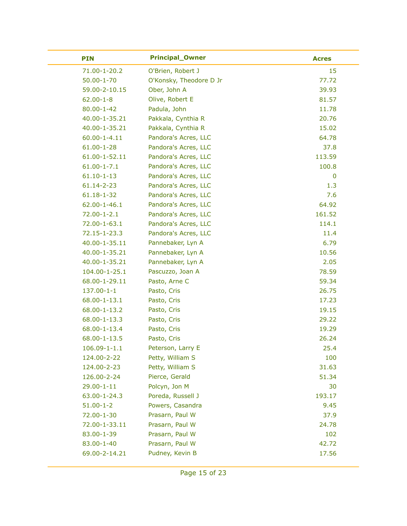| <b>PIN</b>         | <b>Principal_Owner</b>  | <b>Acres</b> |
|--------------------|-------------------------|--------------|
| 71.00-1-20.2       | O'Brien, Robert J       | 15           |
| $50.00 - 1 - 70$   | O'Konsky, Theodore D Jr | 77.72        |
| 59.00-2-10.15      | Ober, John A            | 39.93        |
| $62.00 - 1 - 8$    | Olive, Robert E         | 81.57        |
| $80.00 - 1 - 42$   | Padula, John            | 11.78        |
| 40.00-1-35.21      | Pakkala, Cynthia R      | 20.76        |
| 40.00-1-35.21      | Pakkala, Cynthia R      | 15.02        |
| $60.00 - 1 - 4.11$ | Pandora's Acres, LLC    | 64.78        |
| $61.00 - 1 - 28$   | Pandora's Acres, LLC    | 37.8         |
| 61.00-1-52.11      | Pandora's Acres, LLC    | 113.59       |
| $61.00 - 1 - 7.1$  | Pandora's Acres, LLC    | 100.8        |
| $61.10 - 1 - 13$   | Pandora's Acres, LLC    | $\bf{0}$     |
| 61.14-2-23         | Pandora's Acres, LLC    | 1.3          |
| $61.18 - 1 - 32$   | Pandora's Acres, LLC    | 7.6          |
| $62.00 - 1 - 46.1$ | Pandora's Acres, LLC    | 64.92        |
| $72.00 - 1 - 2.1$  | Pandora's Acres, LLC    | 161.52       |
| 72.00-1-63.1       | Pandora's Acres, LLC    | 114.1        |
| 72.15-1-23.3       | Pandora's Acres, LLC    | 11.4         |
| 40.00-1-35.11      | Pannebaker, Lyn A       | 6.79         |
| 40.00-1-35.21      | Pannebaker, Lyn A       | 10.56        |
| 40.00-1-35.21      | Pannebaker, Lyn A       | 2.05         |
| 104.00-1-25.1      | Pascuzzo, Joan A        | 78.59        |
| 68.00-1-29.11      | Pasto, Arne C           | 59.34        |
| 137.00-1-1         | Pasto, Cris             | 26.75        |
| 68.00-1-13.1       | Pasto, Cris             | 17.23        |
| 68.00-1-13.2       | Pasto, Cris             | 19.15        |
| 68.00-1-13.3       | Pasto, Cris             | 29.22        |
| 68.00-1-13.4       | Pasto, Cris             | 19.29        |
| 68.00-1-13.5       | Pasto, Cris             | 26.24        |
| $106.09 - 1 - 1.1$ | Peterson, Larry E       | 25.4         |
| 124.00-2-22        | Petty, William S        | 100          |
| 124.00-2-23        | Petty, William S        | 31.63        |
| 126.00-2-24        | Pierce, Gerald          | 51.34        |
| 29.00-1-11         | Polcyn, Jon M           | 30           |
| 63.00-1-24.3       | Poreda, Russell J       | 193.17       |
| $51.00 - 1 - 2$    | Powers, Casandra        | 9.45         |
| 72.00-1-30         | Prasarn, Paul W         | 37.9         |
| 72.00-1-33.11      | Prasarn, Paul W         | 24.78        |
| 83.00-1-39         | Prasarn, Paul W         | 102          |
| 83.00-1-40         | Prasarn, Paul W         | 42.72        |
| 69.00-2-14.21      | Pudney, Kevin B         | 17.56        |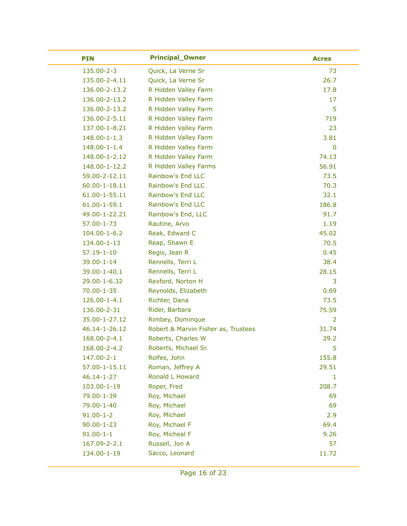| <b>PIN</b>         | <b>Principal_Owner</b>              | <b>Acres</b>   |
|--------------------|-------------------------------------|----------------|
| 135.00-2-3         | Quick, La Verne Sr                  | 73             |
| 135.00-2-4.11      | Quick, La Verne Sr                  | 26.7           |
| 136.00-2-13.2      | R Hidden Valley Farm                | 17.8           |
| 136.00-2-13.2      | R Hidden Valley Farm                | 17             |
| 136.00-2-13.2      | R Hidden Valley Farm                | 5              |
| 136.00-2-5.11      | R Hidden Valley Farm                | 719            |
| 137.00-1-8.21      | R Hidden Valley Farm                | 23             |
| $148.00 - 1 - 1.3$ | R Hidden Valley Farm                | 3.81           |
| 148.00-1-1.4       | R Hidden Valley Farm                | $\mathbf 0$    |
| 148.00-1-2.12      | R Hidden Valley Farm                | 74.13          |
| 148.00-1-12.2      | R Hidden Valley Farms               | 56.91          |
| 59.00-2-12.11      | Rainbow's End LLC                   | 73.5           |
| 60.00-1-18.11      | Rainbow's End LLC                   | 70.3           |
| 61.00-1-55.11      | Rainbow's End LLC                   | 32.1           |
| 61.00-1-59.1       | Rainbow's End LLC                   | 186.8          |
| 49.00-1-22.21      | Rainbow's End, LLC                  | 91.7           |
| $57.00 - 1 - 73$   | Rautine, Arvo                       | 1.19           |
| $104.00 - 1 - 6.2$ | Reak, Edward C                      | 45.02          |
| 134.00-1-13        | Reap, Shawn E                       | 70.5           |
| $57.19 - 1 - 10$   | Regis, Jean R                       | 0.45           |
| 39.00-1-14         | Rennells, Terri L                   | 38.4           |
| 39.00-1-40.1       | Rennells, Terri L                   | 28.15          |
| 29.00-1-6.32       | Rexford, Norton H                   | 3              |
| $70.00 - 1 - 35$   | Reynolds, Elizabeth                 | 0.69           |
| 126.00-1-4.1       | Richter, Dana                       | 73.5           |
| 136.00-2-31        | Rider, Barbara                      | 75.59          |
| 35.00-1-27.12      | Rimbey, Dominque                    | $\overline{2}$ |
| 46.14-1-26.12      | Robert & Marvin Fisher as, Trustees | 31.74          |
| 168.00-2-4.1       | Roberts, Charles W                  | 29.2           |
| 168.00-2-4.2       | Roberts, Michael Sr.                | 5              |
| 147.00-2-1         | Rolfes, John                        | 155.8          |
| 57.00-1-15.11      | Roman, Jeffrey A                    | 29.51          |
| $46.14 - 1 - 27$   | Ronald L Howard                     | $\mathbf{1}$   |
| 103.00-1-19        | Roper, Fred                         | 208.7          |
| 79.00-1-39         | Roy, Michael                        | 69             |
| 79.00-1-40         | Roy, Michael                        | 69             |
| $91.00 - 1 - 2$    | Roy, Michael                        | 2.9            |
| $90.00 - 1 - 23$   | Roy, Michael F                      | 69.4           |
| $91.00 - 1 - 1$    | Roy, Micheal F                      | 9.26           |
| 167.09-2-2.1       | Russell, Jon A                      | 57             |
| 134.00-1-19        | Sacco, Leonard                      | 11.72          |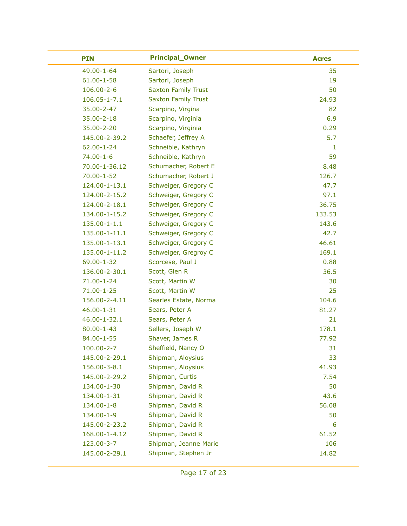| <b>PIN</b>         | <b>Principal_Owner</b>     | <b>Acres</b> |
|--------------------|----------------------------|--------------|
| 49.00-1-64         | Sartori, Joseph            | 35           |
| $61.00 - 1 - 58$   | Sartori, Joseph            | 19           |
| 106.00-2-6         | <b>Saxton Family Trust</b> | 50           |
| $106.05 - 1 - 7.1$ | <b>Saxton Family Trust</b> | 24.93        |
| 35.00-2-47         | Scarpino, Virgina          | 82           |
| 35.00-2-18         | Scarpino, Virginia         | 6.9          |
| 35.00-2-20         | Scarpino, Virginia         | 0.29         |
| 145.00-2-39.2      | Schaefer, Jeffrey A        | 5.7          |
| $62.00 - 1 - 24$   | Schneible, Kathryn         | 1            |
| $74.00 - 1 - 6$    | Schneible, Kathryn         | 59           |
| 70.00-1-36.12      | Schumacher, Robert E       | 8.48         |
| $70.00 - 1 - 52$   | Schumacher, Robert J       | 126.7        |
| 124.00-1-13.1      | Schweiger, Gregory C       | 47.7         |
| 124.00-2-15.2      | Schweiger, Gregory C       | 97.1         |
| 124.00-2-18.1      | Schweiger, Gregory C       | 36.75        |
| 134.00-1-15.2      | Schweiger, Gregory C       | 133.53       |
| 135.00-1-1.1       | Schweiger, Gregory C       | 143.6        |
| 135.00-1-11.1      | Schweiger, Gregory C       | 42.7         |
| 135.00-1-13.1      | Schweiger, Gregory C       | 46.61        |
| 135.00-1-11.2      | Schweiger, Gregroy C       | 169.1        |
| 69.00-1-32         | Scorcese, Paul J           | 0.88         |
| 136.00-2-30.1      | Scott, Glen R              | 36.5         |
| 71.00-1-24         | Scott, Martin W            | 30           |
| $71.00 - 1 - 25$   | Scott, Martin W            | 25           |
| 156.00-2-4.11      | Searles Estate, Norma      | 104.6        |
| $46.00 - 1 - 31$   | Sears, Peter A             | 81.27        |
| 46.00-1-32.1       | Sears, Peter A             | 21           |
| $80.00 - 1 - 43$   | Sellers, Joseph W          | 178.1        |
| 84.00-1-55         | Shaver, James R            | 77.92        |
| 100.00-2-7         | Sheffield, Nancy O         | 31           |
| 145.00-2-29.1      | Shipman, Aloysius          | 33           |
| 156.00-3-8.1       | Shipman, Aloysius          | 41.93        |
| 145.00-2-29.2      | Shipman, Curtis            | 7.54         |
| 134.00-1-30        | Shipman, David R           | 50           |
| 134.00-1-31        | Shipman, David R           | 43.6         |
| 134.00-1-8         | Shipman, David R           | 56.08        |
| 134.00-1-9         | Shipman, David R           | 50           |
| 145.00-2-23.2      | Shipman, David R           | 6            |
| 168.00-1-4.12      | Shipman, David R           | 61.52        |
| 123.00-3-7         | Shipman, Jeanne Marie      | 106          |
| 145.00-2-29.1      | Shipman, Stephen Jr        | 14.82        |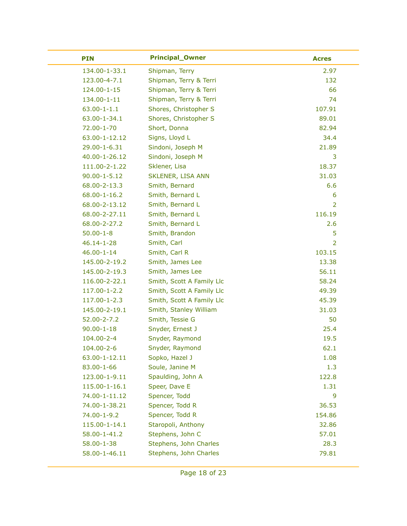| <b>PIN</b>         | <b>Principal_Owner</b>    | <b>Acres</b>   |
|--------------------|---------------------------|----------------|
| 134.00-1-33.1      | Shipman, Terry            | 2.97           |
| 123.00-4-7.1       | Shipman, Terry & Terri    | 132            |
| 124.00-1-15        | Shipman, Terry & Terri    | 66             |
| 134.00-1-11        | Shipman, Terry & Terri    | 74             |
| $63.00 - 1 - 1.1$  | Shores, Christopher S     | 107.91         |
| 63.00-1-34.1       | Shores, Christopher S     | 89.01          |
| 72.00-1-70         | Short, Donna              | 82.94          |
| 63.00-1-12.12      | Signs, Lloyd L            | 34.4           |
| 29.00-1-6.31       | Sindoni, Joseph M         | 21.89          |
| 40.00-1-26.12      | Sindoni, Joseph M         | 3              |
| 111.00-2-1.22      | Sklener, Lisa             | 18.37          |
| $90.00 - 1 - 5.12$ | <b>SKLENER, LISA ANN</b>  | 31.03          |
| 68.00-2-13.3       | Smith, Bernard            | 6.6            |
| 68.00-1-16.2       | Smith, Bernard L          | 6              |
| 68.00-2-13.12      | Smith, Bernard L          | $\overline{2}$ |
| 68.00-2-27.11      | Smith, Bernard L          | 116.19         |
| 68.00-2-27.2       | Smith, Bernard L          | 2.6            |
| $50.00 - 1 - 8$    | Smith, Brandon            | 5              |
| $46.14 - 1 - 28$   | Smith, Carl               | $\overline{2}$ |
| $46.00 - 1 - 14$   | Smith, Carl R             | 103.15         |
| 145.00-2-19.2      | Smith, James Lee          | 13.38          |
| 145.00-2-19.3      | Smith, James Lee          | 56.11          |
| 116.00-2-22.1      | Smith, Scott A Family Llc | 58.24          |
| 117.00-1-2.2       | Smith, Scott A Family Llc | 49.39          |
| 117.00-1-2.3       | Smith, Scott A Family Llc | 45.39          |
| 145.00-2-19.1      | Smith, Stanley William    | 31.03          |
| 52.00-2-7.2        | Smith, Tessie G           | 50             |
| $90.00 - 1 - 18$   | Snyder, Ernest J          | 25.4           |
| 104.00-2-4         | Snyder, Raymond           | 19.5           |
| 104.00-2-6         | Snyder, Raymond           | 62.1           |
| 63.00-1-12.11      | Sopko, Hazel J            | 1.08           |
| 83.00-1-66         | Soule, Janine M           | 1.3            |
| 123.00-1-9.11      | Spaulding, John A         | 122.8          |
| 115.00-1-16.1      | Speer, Dave E             | 1.31           |
| 74.00-1-11.12      | Spencer, Todd             | 9              |
| 74.00-1-38.21      | Spencer, Todd R           | 36.53          |
| 74.00-1-9.2        | Spencer, Todd R           | 154.86         |
| 115.00-1-14.1      | Staropoli, Anthony        | 32.86          |
| 58.00-1-41.2       | Stephens, John C          | 57.01          |
| 58.00-1-38         | Stephens, John Charles    | 28.3           |
| 58.00-1-46.11      | Stephens, John Charles    | 79.81          |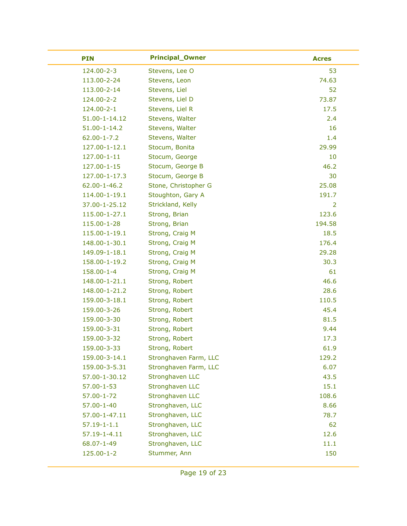| <b>PIN</b>         | <b>Principal_Owner</b> | <b>Acres</b> |
|--------------------|------------------------|--------------|
| 124.00-2-3         | Stevens, Lee O         | 53           |
| 113.00-2-24        | Stevens, Leon          | 74.63        |
| 113.00-2-14        | Stevens, Liel          | 52           |
| 124.00-2-2         | Stevens, Liel D        | 73.87        |
| 124.00-2-1         | Stevens, Liel R        | 17.5         |
| 51.00-1-14.12      | Stevens, Walter        | 2.4          |
| $51.00 - 1 - 14.2$ | Stevens, Walter        | 16           |
| $62.00 - 1 - 7.2$  | Stevens, Walter        | 1.4          |
| 127.00-1-12.1      | Stocum, Bonita         | 29.99        |
| 127.00-1-11        | Stocum, George         | 10           |
| 127.00-1-15        | Stocum, George B       | 46.2         |
| 127.00-1-17.3      | Stocum, George B       | 30           |
| $62.00 - 1 - 46.2$ | Stone, Christopher G   | 25.08        |
| 114.00-1-19.1      | Stoughton, Gary A      | 191.7        |
| 37.00-1-25.12      | Strickland, Kelly      | 2            |
| 115.00-1-27.1      | Strong, Brian          | 123.6        |
| 115.00-1-28        | Strong, Brian          | 194.58       |
| 115.00-1-19.1      | Strong, Craig M        | 18.5         |
| 148.00-1-30.1      | Strong, Craig M        | 176.4        |
| 149.09-1-18.1      | Strong, Craig M        | 29.28        |
| 158.00-1-19.2      | Strong, Craig M        | 30.3         |
| 158.00-1-4         | Strong, Craig M        | 61           |
| 148.00-1-21.1      | Strong, Robert         | 46.6         |
| 148.00-1-21.2      | Strong, Robert         | 28.6         |
| 159.00-3-18.1      | Strong, Robert         | 110.5        |
| 159.00-3-26        | Strong, Robert         | 45.4         |
| 159.00-3-30        | Strong, Robert         | 81.5         |
| 159.00-3-31        | Strong, Robert         | 9.44         |
| 159.00-3-32        | Strong, Robert         | 17.3         |
| 159.00-3-33        | Strong, Robert         | 61.9         |
| 159.00-3-14.1      | Stronghaven Farm, LLC  | 129.2        |
| 159.00-3-5.31      | Stronghaven Farm, LLC  | 6.07         |
| 57.00-1-30.12      | Stronghaven LLC        | 43.5         |
| $57.00 - 1 - 53$   | Stronghaven LLC        | 15.1         |
| 57.00-1-72         | Stronghaven LLC        | 108.6        |
| $57.00 - 1 - 40$   | Stronghaven, LLC       | 8.66         |
| 57.00-1-47.11      | Stronghaven, LLC       | 78.7         |
| $57.19 - 1 - 1.1$  | Stronghaven, LLC       | 62           |
| 57.19-1-4.11       | Stronghaven, LLC       | 12.6         |
| 68.07-1-49         | Stronghaven, LLC       | 11.1         |
| 125.00-1-2         | Stummer, Ann           | 150          |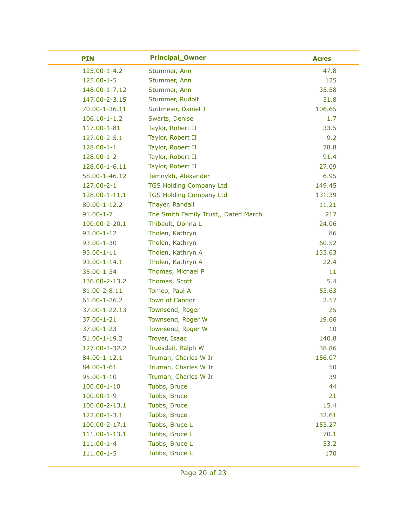| <b>PIN</b>         | <b>Principal_Owner</b>               | <b>Acres</b> |
|--------------------|--------------------------------------|--------------|
| 125.00-1-4.2       | Stummer, Ann                         | 47.8         |
| 125.00-1-5         | Stummer, Ann                         | 125          |
| 148.00-1-7.12      | Stummer, Ann                         | 35.58        |
| 147.00-2-3.15      | Stummer, Rudolf                      | 31.8         |
| 70.00-1-36.11      | Suttmeier, Daniel J                  | 106.65       |
| $106.10 - 1 - 1.2$ | Swarts, Denise                       | 1.7          |
| 117.00-1-81        | Taylor, Robert II                    | 33.5         |
| 127.00-2-5.1       | Taylor, Robert II                    | 9.2          |
| $128.00 - 1 - 1$   | Taylor, Robert II                    | 78.8         |
| 128.00-1-2         | Taylor, Robert II                    | 91.4         |
| 128.00-1-6.11      | Taylor, Robert II                    | 27.09        |
| 58.00-1-46.12      | Temnykh, Alexander                   | 6.95         |
| 127.00-2-1         | <b>TGS Holding Company Ltd</b>       | 149.45       |
| 128.00-1-11.1      | <b>TGS Holding Company Ltd</b>       | 131.39       |
| $80.00 - 1 - 12.2$ | Thayer, Randall                      | 11.21        |
| $91.00 - 1 - 7$    | The Smith Family Trust,, Dated March | 217          |
| 100.00-2-20.1      | Thibault, Donna L                    | 24.06        |
| $93.00 - 1 - 12$   | Tholen, Kathryn                      | 86           |
| $93.00 - 1 - 30$   | Tholen, Kathryn                      | 60.52        |
| $93.00 - 1 - 11$   | Tholen, Kathryn A                    | 133.63       |
| $93.00 - 1 - 14.1$ | Tholen, Kathryn A                    | 22.4         |
| 35.00-1-34         | Thomas, Michael P                    | 11           |
| 136.00-2-13.2      | Thomas, Scott                        | 5.4          |
| 81.00-2-8.11       | Tomeo, Paul A                        | 53.63        |
| $61.00 - 1 - 26.2$ | Town of Candor                       | 2.57         |
| 37.00-1-22.13      | Townsend, Roger                      | 25           |
| 37.00-1-21         | Townsend, Roger W                    | 19.66        |
| $37.00 - 1 - 23$   | Townsend, Roger W                    | 10           |
| $51.00 - 1 - 19.2$ | Troyer, Isaac                        | 140.8        |
| 127.00-1-32.2      | Truesdail, Ralph W                   | 38.86        |
| 84.00-1-12.1       | Truman, Charles W Jr                 | 156.07       |
| 84.00-1-61         | Truman, Charles W Jr                 | 50           |
| $95.00 - 1 - 10$   | Truman, Charles W Jr                 | 39           |
| $100.00 - 1 - 10$  | Tubbs, Bruce                         | 44           |
| $100.00 - 1 - 9$   | Tubbs, Bruce                         | 21           |
| 100.00-2-13.1      | Tubbs, Bruce                         | 15.4         |
| 122.00-1-3.1       | Tubbs, Bruce                         | 32.61        |
| 100.00-2-17.1      | Tubbs, Bruce L                       | 153.27       |
| 111.00-1-13.1      | Tubbs, Bruce L                       | 70.1         |
| $111.00 - 1 - 4$   | Tubbs, Bruce L                       | 53.2         |
| $111.00 - 1 - 5$   | Tubbs, Bruce L                       | 170          |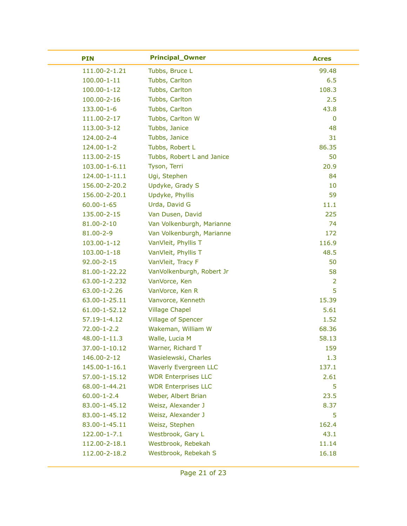| <b>PIN</b>        | <b>Principal_Owner</b>       | <b>Acres</b>   |
|-------------------|------------------------------|----------------|
| 111.00-2-1.21     | Tubbs, Bruce L               | 99.48          |
| $100.00 - 1 - 11$ | Tubbs, Carlton               | 6.5            |
| $100.00 - 1 - 12$ | Tubbs, Carlton               | 108.3          |
| 100.00-2-16       | Tubbs, Carlton               | 2.5            |
| 133.00-1-6        | Tubbs, Carlton               | 43.8           |
| 111.00-2-17       | Tubbs, Carlton W             | $\mathbf 0$    |
| 113.00-3-12       | Tubbs, Janice                | 48             |
| 124.00-2-4        | Tubbs, Janice                | 31             |
| 124.00-1-2        | Tubbs, Robert L              | 86.35          |
| 113.00-2-15       | Tubbs, Robert L and Janice   | 50             |
| 103.00-1-6.11     | Tyson, Terri                 | 20.9           |
| 124.00-1-11.1     | Ugi, Stephen                 | 84             |
| 156.00-2-20.2     | Updyke, Grady S              | 10             |
| 156.00-2-20.1     | Updyke, Phyllis              | 59             |
| $60.00 - 1 - 65$  | Urda, David G                | 11.1           |
| 135.00-2-15       | Van Dusen, David             | 225            |
| 81.00-2-10        | Van Volkenburgh, Marianne    | 74             |
| 81.00-2-9         | Van Volkenburgh, Marianne    | 172            |
| 103.00-1-12       | VanVleit, Phyllis T          | 116.9          |
| 103.00-1-18       | VanVleit, Phyllis T          | 48.5           |
| $92.00 - 2 - 15$  | VanVleit, Tracy F            | 50             |
| 81.00-1-22.22     | VanVolkenburgh, Robert Jr    | 58             |
| 63.00-1-2.232     | VanVorce, Ken                | $\overline{2}$ |
| 63.00-1-2.26      | VanVorce, Ken R              | 5              |
| 63.00-1-25.11     | Vanvorce, Kenneth            | 15.39          |
| 61.00-1-52.12     | <b>Village Chapel</b>        | 5.61           |
| 57.19-1-4.12      | <b>Village of Spencer</b>    | 1.52           |
| 72.00-1-2.2       | Wakeman, William W           | 68.36          |
| 48.00-1-11.3      | Walle, Lucia M               | 58.13          |
| 37.00-1-10.12     | Warner, Richard T            | 159            |
| 146.00-2-12       | Wasielewski, Charles         | 1.3            |
| 145.00-1-16.1     | <b>Waverly Evergreen LLC</b> | 137.1          |
| 57.00-1-15.12     | <b>WDR Enterprises LLC</b>   | 2.61           |
| 68.00-1-44.21     | <b>WDR Enterprises LLC</b>   | 5              |
| $60.00 - 1 - 2.4$ | Weber, Albert Brian          | 23.5           |
| 83.00-1-45.12     | Weisz, Alexander J           | 8.37           |
| 83.00-1-45.12     | Weisz, Alexander J           | 5              |
| 83.00-1-45.11     | Weisz, Stephen               | 162.4          |
| 122.00-1-7.1      | Westbrook, Gary L            | 43.1           |
| 112.00-2-18.1     | Westbrook, Rebekah           | 11.14          |
| 112.00-2-18.2     | Westbrook, Rebekah S         | 16.18          |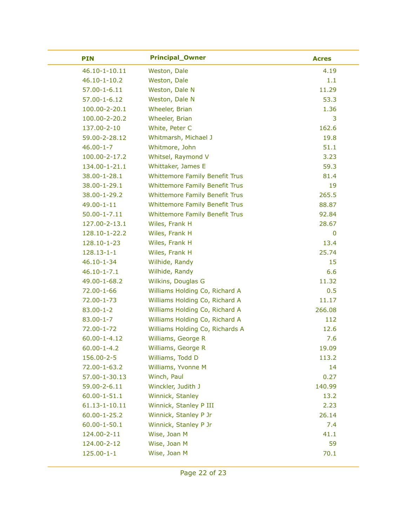| <b>PIN</b>         | <b>Principal_Owner</b>                | <b>Acres</b> |
|--------------------|---------------------------------------|--------------|
| 46.10-1-10.11      | Weston, Dale                          | 4.19         |
| $46.10 - 1 - 10.2$ | Weston, Dale                          | 1.1          |
| $57.00 - 1 - 6.11$ | Weston, Dale N                        | 11.29        |
| 57.00-1-6.12       | Weston, Dale N                        | 53.3         |
| 100.00-2-20.1      | Wheeler, Brian                        | 1.36         |
| 100.00-2-20.2      | Wheeler, Brian                        | 3            |
| 137.00-2-10        | White, Peter C                        | 162.6        |
| 59.00-2-28.12      | Whitmarsh, Michael J                  | 19.8         |
| $46.00 - 1 - 7$    | Whitmore, John                        | 51.1         |
| 100.00-2-17.2      | Whitsel, Raymond V                    | 3.23         |
| 134.00-1-21.1      | Whittaker, James E                    | 59.3         |
| 38.00-1-28.1       | <b>Whittemore Family Benefit Trus</b> | 81.4         |
| 38.00-1-29.1       | <b>Whittemore Family Benefit Trus</b> | 19           |
| 38.00-1-29.2       | <b>Whittemore Family Benefit Trus</b> | 265.5        |
| 49.00-1-11         | <b>Whittemore Family Benefit Trus</b> | 88.87        |
| $50.00 - 1 - 7.11$ | <b>Whittemore Family Benefit Trus</b> | 92.84        |
| 127.00-2-13.1      | Wiles, Frank H                        | 28.67        |
| 128.10-1-22.2      | Wiles, Frank H                        | $\bf{0}$     |
| 128.10-1-23        | Wiles, Frank H                        | 13.4         |
| $128.13 - 1 - 1$   | Wiles, Frank H                        | 25.74        |
| 46.10-1-34         | Wilhide, Randy                        | 15           |
| $46.10 - 1 - 7.1$  | Wilhide, Randy                        | 6.6          |
| 49.00-1-68.2       | Wilkins, Douglas G                    | 11.32        |
| 72.00-1-66         | Williams Holding Co, Richard A        | 0.5          |
| 72.00-1-73         | Williams Holding Co, Richard A        | 11.17        |
| $83.00 - 1 - 2$    | Williams Holding Co, Richard A        | 266.08       |
| $83.00 - 1 - 7$    | Williams Holding Co, Richard A        | 112          |
| 72.00-1-72         | Williams Holding Co, Richards A       | 12.6         |
| $60.00 - 1 - 4.12$ | Williams, George R                    | 7.6          |
| $60.00 - 1 - 4.2$  | Williams, George R                    | 19.09        |
| 156.00-2-5         | Williams, Todd D                      | 113.2        |
| 72.00-1-63.2       | Williams, Yvonne M                    | 14           |
| 57.00-1-30.13      | Winch, Paul                           | 0.27         |
| 59.00-2-6.11       | Winckler, Judith J                    | 140.99       |
| 60.00-1-51.1       | Winnick, Stanley                      | 13.2         |
| 61.13-1-10.11      | Winnick, Stanley P III                | 2.23         |
| $60.00 - 1 - 25.2$ | Winnick, Stanley P Jr                 | 26.14        |
| $60.00 - 1 - 50.1$ | Winnick, Stanley P Jr                 | 7.4          |
| 124.00-2-11        | Wise, Joan M                          | 41.1         |
| 124.00-2-12        | Wise, Joan M                          | 59           |
| $125.00 - 1 - 1$   | Wise, Joan M                          | 70.1         |